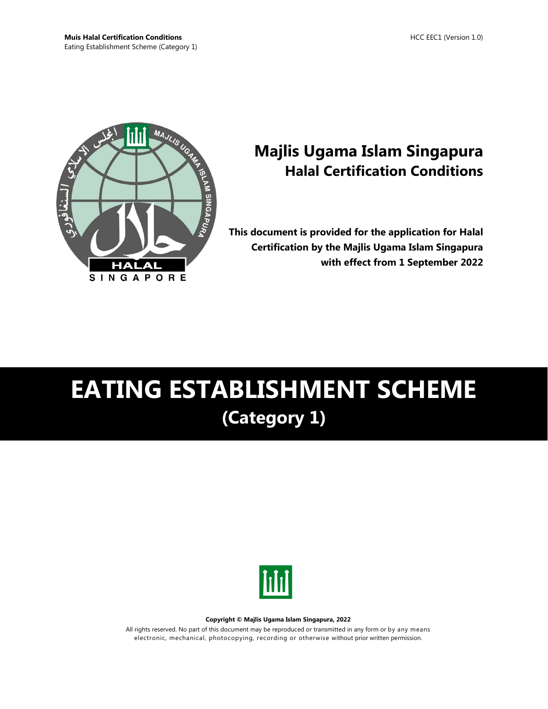

## **Majlis Ugama Islam Singapura Halal Certification Conditions**

**This document is provided for the application for Halal Certification by the Majlis Ugama Islam Singapura with effect from 1 September 2022**

# **EATING ESTABLISHMENT SCHEME (Category 1)**



#### **Copyright © Majlis Ugama Islam Singapura, 2022**

All rights reserved. No part of this document may be reproduced or transmitted in any form or by any means electronic, mechanical, photocopying, recording or otherwise without prior written permission.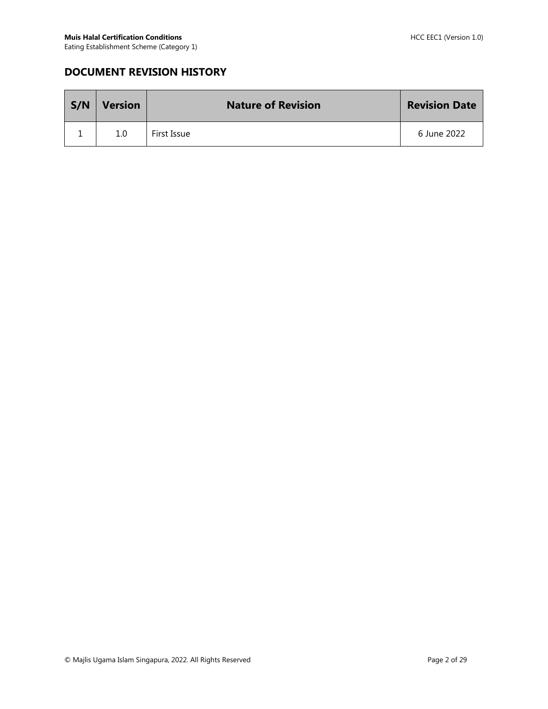## **DOCUMENT REVISION HISTORY**

| S/N | <b>Version</b> | <b>Nature of Revision</b> | <b>Revision Date</b> |
|-----|----------------|---------------------------|----------------------|
|     | 1.0            | First Issue               | 6 June 2022          |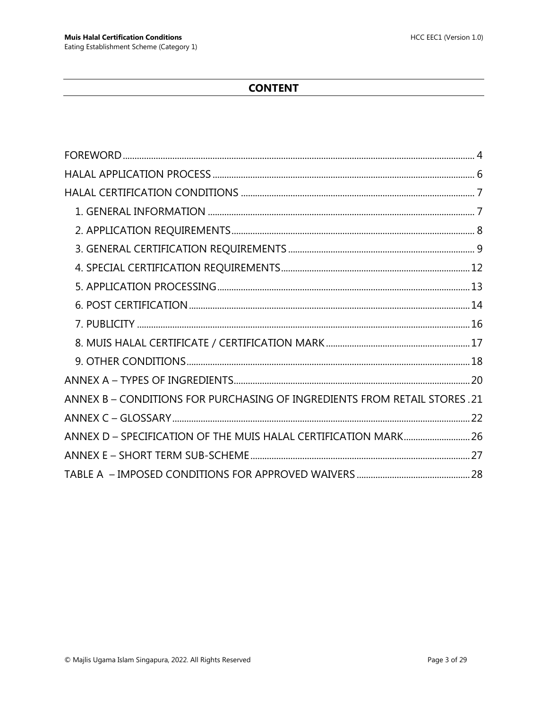## **CONTENT**

| ANNEX B – CONDITIONS FOR PURCHASING OF INGREDIENTS FROM RETAIL STORES . 21 |  |
|----------------------------------------------------------------------------|--|
|                                                                            |  |
| ANNEX D - SPECIFICATION OF THE MUIS HALAL CERTIFICATION MARK 26            |  |
|                                                                            |  |
|                                                                            |  |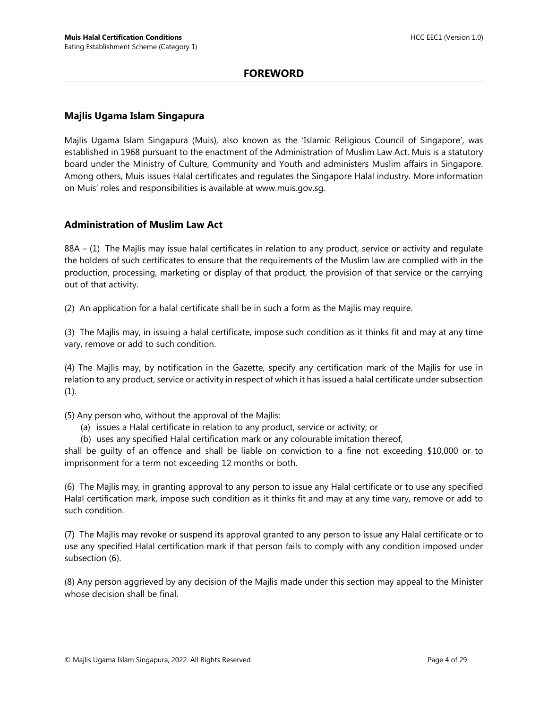#### **FOREWORD**

#### <span id="page-3-0"></span>**Majlis Ugama Islam Singapura**

Majlis Ugama Islam Singapura (Muis), also known as the 'Islamic Religious Council of Singapore', was established in 1968 pursuant to the enactment of the Administration of Muslim Law Act. Muis is a statutory board under the Ministry of Culture, Community and Youth and administers Muslim affairs in Singapore. Among others, Muis issues Halal certificates and regulates the Singapore Halal industry. More information on Muis' roles and responsibilities is available at www.muis.gov.sg.

#### **Administration of Muslim Law Act**

88A – (1) The Majlis may issue halal certificates in relation to any product, service or activity and regulate the holders of such certificates to ensure that the requirements of the Muslim law are complied with in the production, processing, marketing or display of that product, the provision of that service or the carrying out of that activity.

(2) An application for a halal certificate shall be in such a form as the Majlis may require.

(3) The Majlis may, in issuing a halal certificate, impose such condition as it thinks fit and may at any time vary, remove or add to such condition.

(4) The Majlis may, by notification in the Gazette, specify any certification mark of the Majlis for use in relation to any product, service or activity in respect of which it has issued a halal certificate under subsection  $(1).$ 

(5) Any person who, without the approval of the Majlis:

- (a) issues a Halal certificate in relation to any product, service or activity; or
- (b) uses any specified Halal certification mark or any colourable imitation thereof,

shall be guilty of an offence and shall be liable on conviction to a fine not exceeding \$10,000 or to imprisonment for a term not exceeding 12 months or both.

(6) The Majlis may, in granting approval to any person to issue any Halal certificate or to use any specified Halal certification mark, impose such condition as it thinks fit and may at any time vary, remove or add to such condition.

(7) The Majlis may revoke or suspend its approval granted to any person to issue any Halal certificate or to use any specified Halal certification mark if that person fails to comply with any condition imposed under subsection (6).

(8) Any person aggrieved by any decision of the Majlis made under this section may appeal to the Minister whose decision shall be final.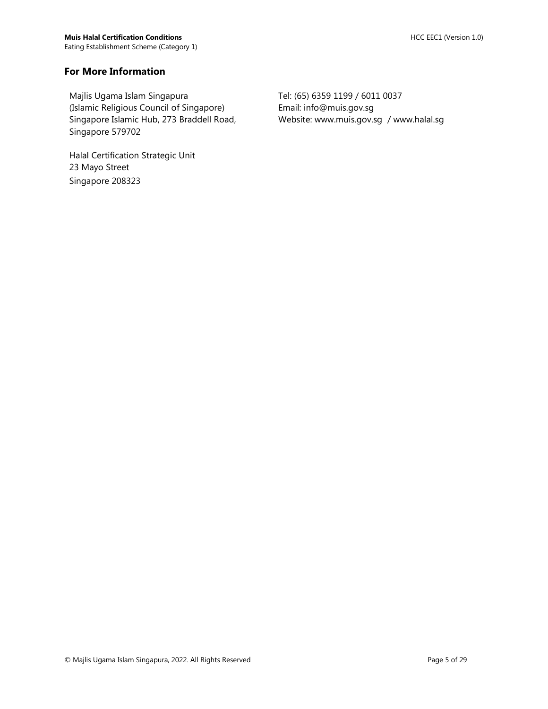#### **For More Information**

Majlis Ugama Islam Singapura (Islamic Religious Council of Singapore) Singapore Islamic Hub, 273 Braddell Road, Singapore 579702

Halal Certification Strategic Unit 23 Mayo Street Singapore 208323

Tel: (65) 6359 1199 / 6011 0037 Email: info@muis.gov.sg Website: www.muis.gov.sg / www.halal.sg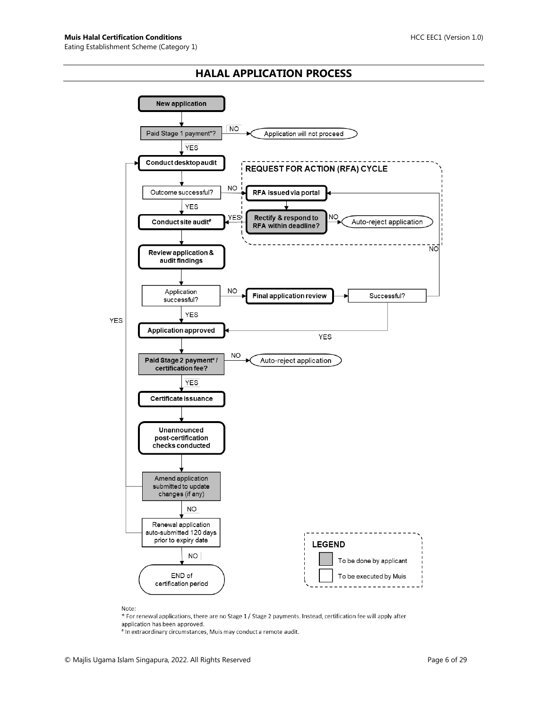#### **HALAL APPLICATION PROCESS**

<span id="page-5-0"></span>

Note:

\* For renewal applications, there are no Stage 1 / Stage 2 payments. Instead, certification fee will apply after application has been approved.

# In extraordinary circumstances, Muis may conduct a remote audit.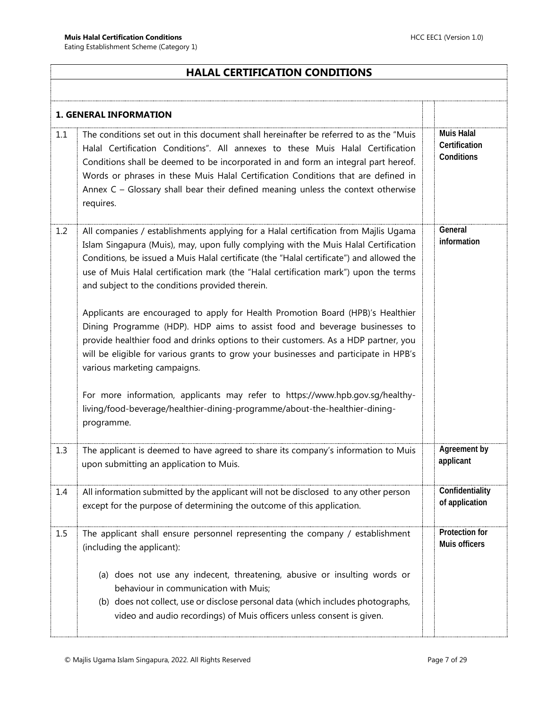## <span id="page-6-0"></span>**HALAL CERTIFICATION CONDITIONS**

<span id="page-6-1"></span>

|     | <b>1. GENERAL INFORMATION</b>                                                                                                                                                                                                                                                                                                                                                                                                                        |                                                  |
|-----|------------------------------------------------------------------------------------------------------------------------------------------------------------------------------------------------------------------------------------------------------------------------------------------------------------------------------------------------------------------------------------------------------------------------------------------------------|--------------------------------------------------|
| 1.1 | The conditions set out in this document shall hereinafter be referred to as the "Muis"<br>Halal Certification Conditions". All annexes to these Muis Halal Certification<br>Conditions shall be deemed to be incorporated in and form an integral part hereof.<br>Words or phrases in these Muis Halal Certification Conditions that are defined in<br>Annex C - Glossary shall bear their defined meaning unless the context otherwise<br>requires. | <b>Muis Halal</b><br>Certification<br>Conditions |
| 1.2 | All companies / establishments applying for a Halal certification from Majlis Ugama<br>Islam Singapura (Muis), may, upon fully complying with the Muis Halal Certification<br>Conditions, be issued a Muis Halal certificate (the "Halal certificate") and allowed the<br>use of Muis Halal certification mark (the "Halal certification mark") upon the terms<br>and subject to the conditions provided therein.                                    | General<br>information                           |
|     | Applicants are encouraged to apply for Health Promotion Board (HPB)'s Healthier<br>Dining Programme (HDP). HDP aims to assist food and beverage businesses to<br>provide healthier food and drinks options to their customers. As a HDP partner, you<br>will be eligible for various grants to grow your businesses and participate in HPB's<br>various marketing campaigns.                                                                         |                                                  |
|     | For more information, applicants may refer to https://www.hpb.gov.sg/healthy-<br>living/food-beverage/healthier-dining-programme/about-the-healthier-dining-<br>programme.                                                                                                                                                                                                                                                                           |                                                  |
| 1.3 | The applicant is deemed to have agreed to share its company's information to Muis<br>upon submitting an application to Muis.                                                                                                                                                                                                                                                                                                                         | Agreement by<br>applicant                        |
| 1.4 | All information submitted by the applicant will not be disclosed to any other person<br>except for the purpose of determining the outcome of this application.                                                                                                                                                                                                                                                                                       | Confidentiality<br>of application                |
| 1.5 | The applicant shall ensure personnel representing the company / establishment<br>(including the applicant):                                                                                                                                                                                                                                                                                                                                          | Protection for<br>Muis officers                  |
|     | (a) does not use any indecent, threatening, abusive or insulting words or<br>behaviour in communication with Muis;<br>(b) does not collect, use or disclose personal data (which includes photographs,<br>video and audio recordings) of Muis officers unless consent is given.                                                                                                                                                                      |                                                  |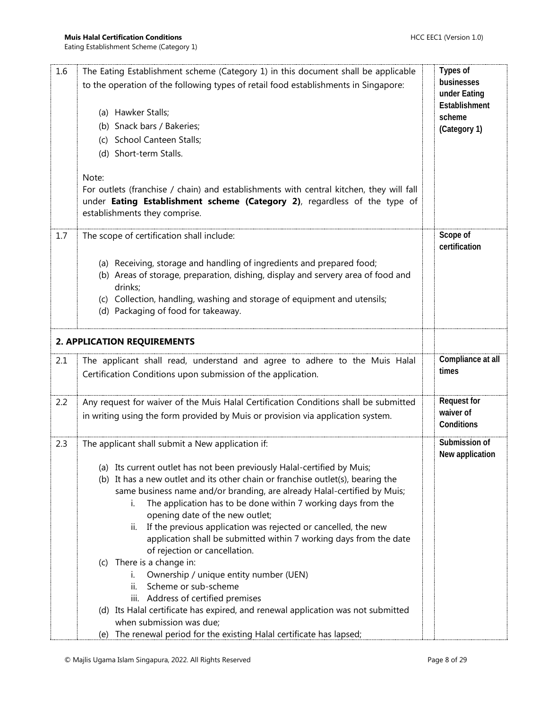<span id="page-7-0"></span>

| 1.6 | The Eating Establishment scheme (Category 1) in this document shall be applicable<br>to the operation of the following types of retail food establishments in Singapore:<br>(a) Hawker Stalls;<br>(b) Snack bars / Bakeries;<br>(c) School Canteen Stalls;<br>(d) Short-term Stalls.<br>Note:<br>For outlets (franchise / chain) and establishments with central kitchen, they will fall<br>under Eating Establishment scheme (Category 2), regardless of the type of<br>establishments they comprise.                                                                                                                                                                                                                                                                                                                                                                                                                          | Types of<br>businesses<br>under Eating<br>Establishment<br>scheme<br>(Category 1) |
|-----|---------------------------------------------------------------------------------------------------------------------------------------------------------------------------------------------------------------------------------------------------------------------------------------------------------------------------------------------------------------------------------------------------------------------------------------------------------------------------------------------------------------------------------------------------------------------------------------------------------------------------------------------------------------------------------------------------------------------------------------------------------------------------------------------------------------------------------------------------------------------------------------------------------------------------------|-----------------------------------------------------------------------------------|
| 1.7 | The scope of certification shall include:<br>(a) Receiving, storage and handling of ingredients and prepared food;<br>(b) Areas of storage, preparation, dishing, display and servery area of food and<br>drinks;<br>(c) Collection, handling, washing and storage of equipment and utensils;<br>(d) Packaging of food for takeaway.                                                                                                                                                                                                                                                                                                                                                                                                                                                                                                                                                                                            | Scope of<br>certification                                                         |
|     | 2. APPLICATION REQUIREMENTS                                                                                                                                                                                                                                                                                                                                                                                                                                                                                                                                                                                                                                                                                                                                                                                                                                                                                                     |                                                                                   |
| 2.1 | The applicant shall read, understand and agree to adhere to the Muis Halal<br>Certification Conditions upon submission of the application.                                                                                                                                                                                                                                                                                                                                                                                                                                                                                                                                                                                                                                                                                                                                                                                      | Compliance at all<br>times                                                        |
| 2.2 | Any request for waiver of the Muis Halal Certification Conditions shall be submitted<br>in writing using the form provided by Muis or provision via application system.                                                                                                                                                                                                                                                                                                                                                                                                                                                                                                                                                                                                                                                                                                                                                         | <b>Request for</b><br>waiver of<br>Conditions                                     |
| 2.3 | The applicant shall submit a New application if:<br>(a) Its current outlet has not been previously Halal-certified by Muis;<br>(b) It has a new outlet and its other chain or franchise outlet(s), bearing the<br>same business name and/or branding, are already Halal-certified by Muis;<br>The application has to be done within 7 working days from the<br>İ.<br>opening date of the new outlet;<br>If the previous application was rejected or cancelled, the new<br>II.<br>application shall be submitted within 7 working days from the date<br>of rejection or cancellation.<br>(c) There is a change in:<br>Ownership / unique entity number (UEN)<br>i.<br>Scheme or sub-scheme<br>ii.<br>iii. Address of certified premises<br>(d) Its Halal certificate has expired, and renewal application was not submitted<br>when submission was due;<br>(e) The renewal period for the existing Halal certificate has lapsed; | Submission of<br>New application                                                  |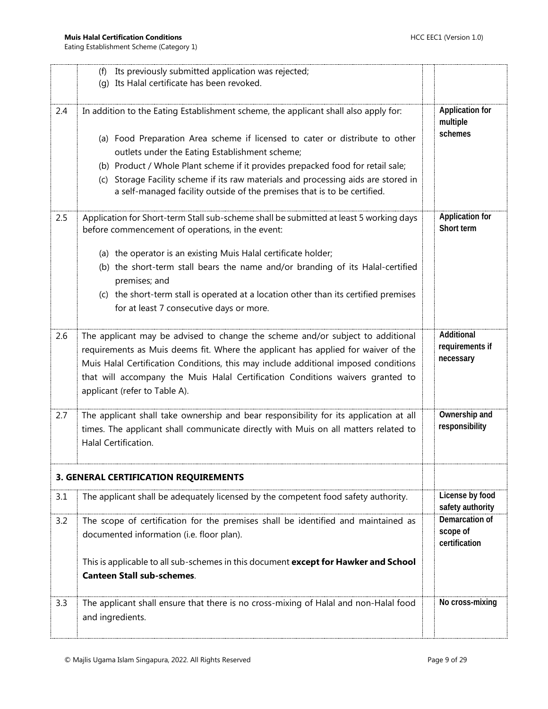<span id="page-8-0"></span>

|     | Its previously submitted application was rejected;<br>(f)                                                                                                         |                                     |
|-----|-------------------------------------------------------------------------------------------------------------------------------------------------------------------|-------------------------------------|
|     | (q) Its Halal certificate has been revoked.                                                                                                                       |                                     |
|     |                                                                                                                                                                   |                                     |
| 2.4 | In addition to the Eating Establishment scheme, the applicant shall also apply for:                                                                               | <b>Application for</b><br>multiple  |
|     | (a) Food Preparation Area scheme if licensed to cater or distribute to other                                                                                      | schemes                             |
|     | outlets under the Eating Establishment scheme;                                                                                                                    |                                     |
|     | (b) Product / Whole Plant scheme if it provides prepacked food for retail sale;                                                                                   |                                     |
|     | Storage Facility scheme if its raw materials and processing aids are stored in<br>(c)<br>a self-managed facility outside of the premises that is to be certified. |                                     |
| 2.5 | Application for Short-term Stall sub-scheme shall be submitted at least 5 working days                                                                            | <b>Application for</b>              |
|     | before commencement of operations, in the event:                                                                                                                  | Short term                          |
|     | (a) the operator is an existing Muis Halal certificate holder;                                                                                                    |                                     |
|     | (b) the short-term stall bears the name and/or branding of its Halal-certified<br>premises; and                                                                   |                                     |
|     | (c) the short-term stall is operated at a location other than its certified premises                                                                              |                                     |
|     | for at least 7 consecutive days or more.                                                                                                                          |                                     |
| 2.6 | The applicant may be advised to change the scheme and/or subject to additional                                                                                    | Additional                          |
|     | requirements as Muis deems fit. Where the applicant has applied for waiver of the                                                                                 | requirements if                     |
|     | Muis Halal Certification Conditions, this may include additional imposed conditions                                                                               | necessary                           |
|     | that will accompany the Muis Halal Certification Conditions waivers granted to                                                                                    |                                     |
|     | applicant (refer to Table A).                                                                                                                                     |                                     |
| 2.7 | The applicant shall take ownership and bear responsibility for its application at all                                                                             | Ownership and                       |
|     | times. The applicant shall communicate directly with Muis on all matters related to                                                                               | responsibility                      |
|     | Halal Certification.                                                                                                                                              |                                     |
|     | <b>3. GENERAL CERTIFICATION REQUIREMENTS</b>                                                                                                                      |                                     |
| 3.1 | The applicant shall be adequately licensed by the competent food safety authority.                                                                                | License by food<br>safety authority |
| 3.2 | The scope of certification for the premises shall be identified and maintained as                                                                                 | Demarcation of                      |
|     | documented information (i.e. floor plan).                                                                                                                         | scope of<br>certification           |
|     |                                                                                                                                                                   |                                     |
|     | This is applicable to all sub-schemes in this document except for Hawker and School                                                                               |                                     |
|     | <b>Canteen Stall sub-schemes.</b>                                                                                                                                 |                                     |
| 3.3 | The applicant shall ensure that there is no cross-mixing of Halal and non-Halal food                                                                              | No cross-mixing                     |
|     | and ingredients.                                                                                                                                                  |                                     |
|     |                                                                                                                                                                   |                                     |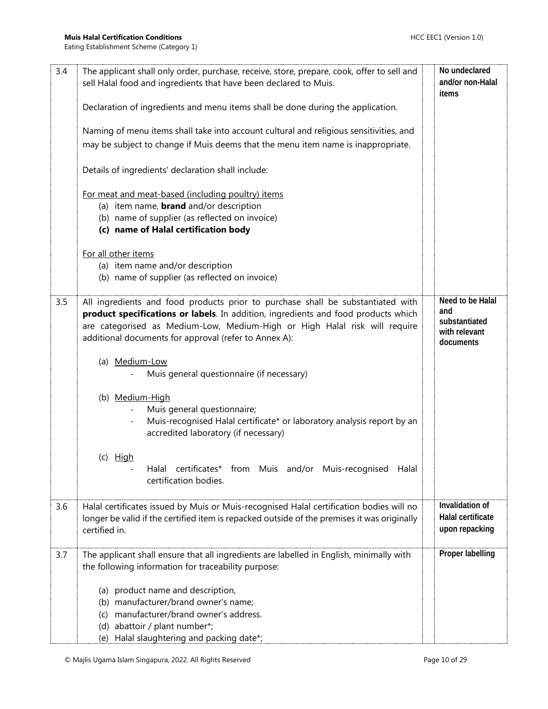| 3.4 | The applicant shall only order, purchase, receive, store, prepare, cook, offer to sell and<br>sell Halal food and ingredients that have been declared to Muis.                                                                                                                                               | No undeclared<br>and/or non-Halal<br>items                             |
|-----|--------------------------------------------------------------------------------------------------------------------------------------------------------------------------------------------------------------------------------------------------------------------------------------------------------------|------------------------------------------------------------------------|
|     | Declaration of ingredients and menu items shall be done during the application.                                                                                                                                                                                                                              |                                                                        |
|     | Naming of menu items shall take into account cultural and religious sensitivities, and<br>may be subject to change if Muis deems that the menu item name is inappropriate.                                                                                                                                   |                                                                        |
|     | Details of ingredients' declaration shall include:                                                                                                                                                                                                                                                           |                                                                        |
|     | For meat and meat-based (including poultry) items<br>(a) item name, <b>brand</b> and/or description<br>(b) name of supplier (as reflected on invoice)<br>(c) name of Halal certification body                                                                                                                |                                                                        |
|     | For all other items<br>(a) item name and/or description<br>(b) name of supplier (as reflected on invoice)                                                                                                                                                                                                    |                                                                        |
| 3.5 | All ingredients and food products prior to purchase shall be substantiated with<br>product specifications or labels. In addition, ingredients and food products which<br>are categorised as Medium-Low, Medium-High or High Halal risk will require<br>additional documents for approval (refer to Annex A): | Need to be Halal<br>and<br>substantiated<br>with relevant<br>documents |
|     | (a) Medium-Low<br>Muis general questionnaire (if necessary)                                                                                                                                                                                                                                                  |                                                                        |
|     | (b) Medium-High<br>Muis general questionnaire;<br>Muis-recognised Halal certificate* or laboratory analysis report by an<br>accredited laboratory (if necessary)                                                                                                                                             |                                                                        |
|     | $(c)$ High<br>Halal certificates* from Muis and/or Muis-recognised<br>Halal<br>certification bodies.                                                                                                                                                                                                         |                                                                        |
| 3.6 | Halal certificates issued by Muis or Muis-recognised Halal certification bodies will no<br>longer be valid if the certified item is repacked outside of the premises it was originally<br>certified in.                                                                                                      | Invalidation of<br>Halal certificate<br>upon repacking                 |
| 3.7 | The applicant shall ensure that all ingredients are labelled in English, minimally with<br>the following information for traceability purpose:                                                                                                                                                               | Proper labelling                                                       |
|     | (a) product name and description,<br>(b) manufacturer/brand owner's name;<br>manufacturer/brand owner's address.<br>(c)<br>(d) abattoir / plant number*;<br>Halal slaughtering and packing date*;<br>(e)                                                                                                     |                                                                        |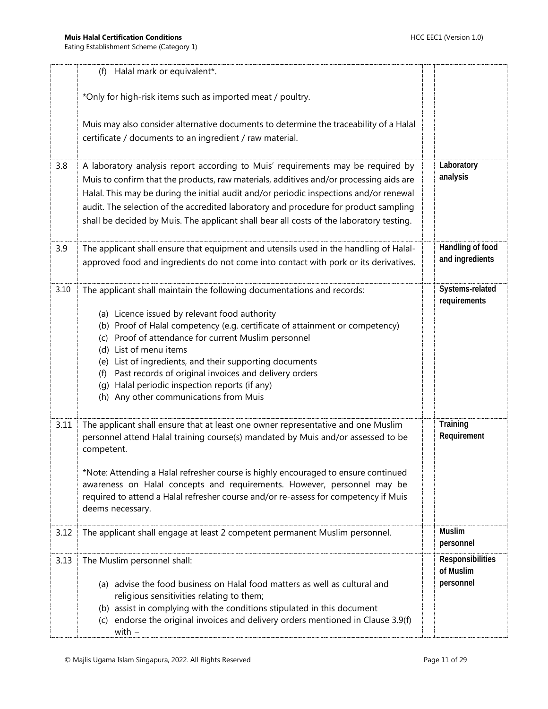|      | (f) Halal mark or equivalent*.                                                                                                                                                                                                                                                                                                                                                                                                                                                                                |                                            |
|------|---------------------------------------------------------------------------------------------------------------------------------------------------------------------------------------------------------------------------------------------------------------------------------------------------------------------------------------------------------------------------------------------------------------------------------------------------------------------------------------------------------------|--------------------------------------------|
|      | *Only for high-risk items such as imported meat / poultry.                                                                                                                                                                                                                                                                                                                                                                                                                                                    |                                            |
|      | Muis may also consider alternative documents to determine the traceability of a Halal<br>certificate / documents to an ingredient / raw material.                                                                                                                                                                                                                                                                                                                                                             |                                            |
| 3.8  | A laboratory analysis report according to Muis' requirements may be required by<br>Muis to confirm that the products, raw materials, additives and/or processing aids are<br>Halal. This may be during the initial audit and/or periodic inspections and/or renewal<br>audit. The selection of the accredited laboratory and procedure for product sampling<br>shall be decided by Muis. The applicant shall bear all costs of the laboratory testing.                                                        | Laboratory<br>analysis                     |
| 3.9  | The applicant shall ensure that equipment and utensils used in the handling of Halal-<br>approved food and ingredients do not come into contact with pork or its derivatives.                                                                                                                                                                                                                                                                                                                                 | Handling of food<br>and ingredients        |
| 3.10 | The applicant shall maintain the following documentations and records:<br>(a) Licence issued by relevant food authority<br>(b) Proof of Halal competency (e.g. certificate of attainment or competency)<br>(c) Proof of attendance for current Muslim personnel<br>(d) List of menu items<br>(e) List of ingredients, and their supporting documents<br>(f) Past records of original invoices and delivery orders<br>(g) Halal periodic inspection reports (if any)<br>(h) Any other communications from Muis | Systems-related<br>requirements            |
| 3.11 | The applicant shall ensure that at least one owner representative and one Muslim<br>personnel attend Halal training course(s) mandated by Muis and/or assessed to be<br>competent.<br>*Note: Attending a Halal refresher course is highly encouraged to ensure continued<br>awareness on Halal concepts and requirements. However, personnel may be<br>required to attend a Halal refresher course and/or re-assess for competency if Muis<br>deems necessary.                                                | Training<br>Requirement                    |
| 3.12 | The applicant shall engage at least 2 competent permanent Muslim personnel.                                                                                                                                                                                                                                                                                                                                                                                                                                   | <b>Muslim</b><br>personnel                 |
| 3.13 | The Muslim personnel shall:<br>(a) advise the food business on Halal food matters as well as cultural and<br>religious sensitivities relating to them;<br>(b) assist in complying with the conditions stipulated in this document<br>endorse the original invoices and delivery orders mentioned in Clause 3.9(f)<br>(C)<br>with $-$                                                                                                                                                                          | Responsibilities<br>of Muslim<br>personnel |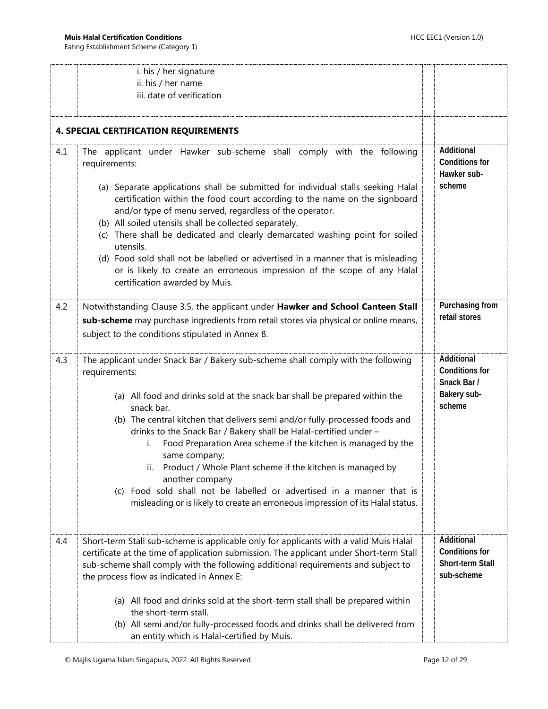<span id="page-11-0"></span>

|     | i. his / her signature<br>ii. his / her name<br>iii. date of verification                                                                                                                                                                                                                                                                                                                                                                                                                                                                                                                                                                                                             |                                                                             |  |
|-----|---------------------------------------------------------------------------------------------------------------------------------------------------------------------------------------------------------------------------------------------------------------------------------------------------------------------------------------------------------------------------------------------------------------------------------------------------------------------------------------------------------------------------------------------------------------------------------------------------------------------------------------------------------------------------------------|-----------------------------------------------------------------------------|--|
|     | <b>4. SPECIAL CERTIFICATION REQUIREMENTS</b>                                                                                                                                                                                                                                                                                                                                                                                                                                                                                                                                                                                                                                          |                                                                             |  |
| 4.1 | The applicant under Hawker sub-scheme shall comply with the following<br>requirements:<br>(a) Separate applications shall be submitted for individual stalls seeking Halal<br>certification within the food court according to the name on the signboard<br>and/or type of menu served, regardless of the operator.<br>(b) All soiled utensils shall be collected separately.<br>(c) There shall be dedicated and clearly demarcated washing point for soiled<br>utensils.<br>(d) Food sold shall not be labelled or advertised in a manner that is misleading<br>or is likely to create an erroneous impression of the scope of any Halal<br>certification awarded by Muis.          | Additional<br><b>Conditions for</b><br>Hawker sub-<br>scheme                |  |
| 4.2 | Notwithstanding Clause 3.5, the applicant under Hawker and School Canteen Stall<br>sub-scheme may purchase ingredients from retail stores via physical or online means,<br>subject to the conditions stipulated in Annex B.                                                                                                                                                                                                                                                                                                                                                                                                                                                           | Purchasing from<br>retail stores                                            |  |
| 4.3 | The applicant under Snack Bar / Bakery sub-scheme shall comply with the following<br>requirements:<br>(a) All food and drinks sold at the snack bar shall be prepared within the<br>snack bar.<br>(b) The central kitchen that delivers semi and/or fully-processed foods and<br>drinks to the Snack Bar / Bakery shall be Halal-certified under -<br>Food Preparation Area scheme if the kitchen is managed by the<br>i.<br>same company;<br>Product / Whole Plant scheme if the kitchen is managed by<br>another company<br>(c) Food sold shall not be labelled or advertised in a manner that is<br>misleading or is likely to create an erroneous impression of its Halal status. | Additional<br><b>Conditions for</b><br>Snack Bar /<br>Bakery sub-<br>scheme |  |
| 4.4 | Short-term Stall sub-scheme is applicable only for applicants with a valid Muis Halal<br>certificate at the time of application submission. The applicant under Short-term Stall<br>sub-scheme shall comply with the following additional requirements and subject to<br>the process flow as indicated in Annex E:<br>(a) All food and drinks sold at the short-term stall shall be prepared within<br>the short-term stall.<br>(b) All semi and/or fully-processed foods and drinks shall be delivered from<br>an entity which is Halal-certified by Muis.                                                                                                                           | Additional<br><b>Conditions for</b><br>Short-term Stall<br>sub-scheme       |  |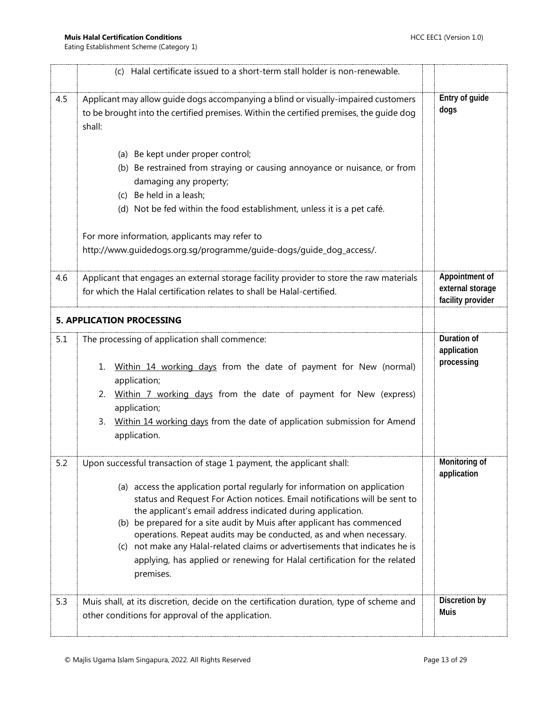<span id="page-12-0"></span>

|     | (c) Halal certificate issued to a short-term stall holder is non-renewable.                                                                                                                                                                                                                                                                                                                                                                                                                                                                                                                                               |                                                         |
|-----|---------------------------------------------------------------------------------------------------------------------------------------------------------------------------------------------------------------------------------------------------------------------------------------------------------------------------------------------------------------------------------------------------------------------------------------------------------------------------------------------------------------------------------------------------------------------------------------------------------------------------|---------------------------------------------------------|
| 4.5 | Applicant may allow quide dogs accompanying a blind or visually-impaired customers<br>to be brought into the certified premises. Within the certified premises, the quide dog<br>shall:                                                                                                                                                                                                                                                                                                                                                                                                                                   | Entry of guide<br>dogs                                  |
|     | (a) Be kept under proper control;<br>(b) Be restrained from straying or causing annoyance or nuisance, or from<br>damaging any property;<br>(c) Be held in a leash;<br>(d) Not be fed within the food establishment, unless it is a pet café.                                                                                                                                                                                                                                                                                                                                                                             |                                                         |
|     | For more information, applicants may refer to<br>http://www.guidedogs.org.sg/programme/guide-dogs/guide_dog_access/.                                                                                                                                                                                                                                                                                                                                                                                                                                                                                                      |                                                         |
| 4.6 | Applicant that engages an external storage facility provider to store the raw materials<br>for which the Halal certification relates to shall be Halal-certified.                                                                                                                                                                                                                                                                                                                                                                                                                                                         | Appointment of<br>external storage<br>facility provider |
|     | <b>5. APPLICATION PROCESSING</b>                                                                                                                                                                                                                                                                                                                                                                                                                                                                                                                                                                                          |                                                         |
| 5.1 | The processing of application shall commence:<br>Within 14 working days from the date of payment for New (normal)<br>1.<br>application;<br>Within 7 working days from the date of payment for New (express)<br>2.<br>application;<br>Within 14 working days from the date of application submission for Amend<br>3.<br>application.                                                                                                                                                                                                                                                                                       | Duration of<br>application<br>processing                |
| 5.2 | Upon successful transaction of stage 1 payment, the applicant shall:<br>(a) access the application portal regularly for information on application<br>status and Request For Action notices. Email notifications will be sent to<br>the applicant's email address indicated during application.<br>(b) be prepared for a site audit by Muis after applicant has commenced<br>operations. Repeat audits may be conducted, as and when necessary.<br>(c) not make any Halal-related claims or advertisements that indicates he is<br>applying, has applied or renewing for Halal certification for the related<br>premises. | Monitoring of<br>application                            |
| 5.3 | Muis shall, at its discretion, decide on the certification duration, type of scheme and<br>other conditions for approval of the application.                                                                                                                                                                                                                                                                                                                                                                                                                                                                              | Discretion by<br><b>Muis</b>                            |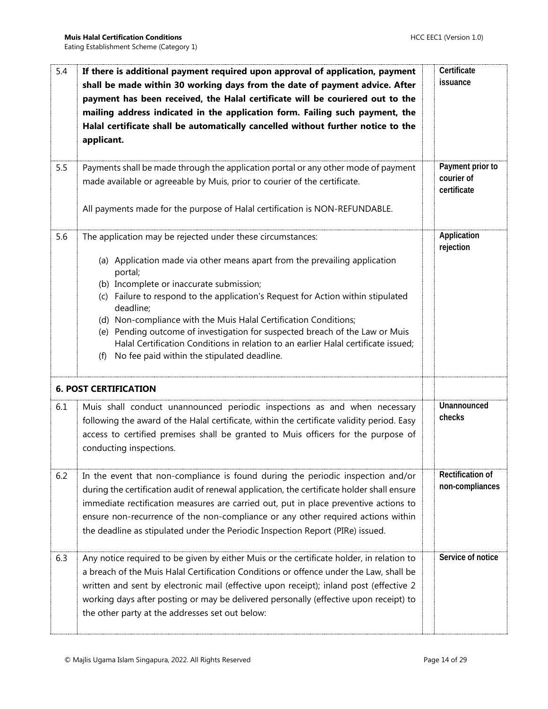<span id="page-13-0"></span>

| 5.4<br>5.5 | If there is additional payment required upon approval of application, payment<br>shall be made within 30 working days from the date of payment advice. After<br>payment has been received, the Halal certificate will be couriered out to the<br>mailing address indicated in the application form. Failing such payment, the<br>Halal certificate shall be automatically cancelled without further notice to the<br>applicant.<br>Payments shall be made through the application portal or any other mode of payment                                                                            | Certificate<br>issuance<br>Payment prior to |
|------------|--------------------------------------------------------------------------------------------------------------------------------------------------------------------------------------------------------------------------------------------------------------------------------------------------------------------------------------------------------------------------------------------------------------------------------------------------------------------------------------------------------------------------------------------------------------------------------------------------|---------------------------------------------|
|            | made available or agreeable by Muis, prior to courier of the certificate.<br>All payments made for the purpose of Halal certification is NON-REFUNDABLE.                                                                                                                                                                                                                                                                                                                                                                                                                                         | courier of<br>certificate                   |
| 5.6        | The application may be rejected under these circumstances:<br>(a) Application made via other means apart from the prevailing application<br>portal;<br>(b) Incomplete or inaccurate submission;<br>(c) Failure to respond to the application's Request for Action within stipulated<br>deadline;<br>(d) Non-compliance with the Muis Halal Certification Conditions;<br>(e) Pending outcome of investigation for suspected breach of the Law or Muis<br>Halal Certification Conditions in relation to an earlier Halal certificate issued;<br>No fee paid within the stipulated deadline.<br>(f) | Application<br>rejection                    |
|            | <b>6. POST CERTIFICATION</b>                                                                                                                                                                                                                                                                                                                                                                                                                                                                                                                                                                     |                                             |
| 6.1        | Muis shall conduct unannounced periodic inspections as and when necessary<br>following the award of the Halal certificate, within the certificate validity period. Easy<br>access to certified premises shall be granted to Muis officers for the purpose of<br>conducting inspections.                                                                                                                                                                                                                                                                                                          | Unannounced<br>checks                       |
| 6.2        | In the event that non-compliance is found during the periodic inspection and/or<br>during the certification audit of renewal application, the certificate holder shall ensure<br>immediate rectification measures are carried out, put in place preventive actions to<br>ensure non-recurrence of the non-compliance or any other required actions within<br>the deadline as stipulated under the Periodic Inspection Report (PIRe) issued.                                                                                                                                                      | <b>Rectification of</b><br>non-compliances  |
| 6.3        | Any notice required to be given by either Muis or the certificate holder, in relation to<br>a breach of the Muis Halal Certification Conditions or offence under the Law, shall be<br>written and sent by electronic mail (effective upon receipt); inland post (effective 2<br>working days after posting or may be delivered personally (effective upon receipt) to<br>the other party at the addresses set out below:                                                                                                                                                                         | Service of notice                           |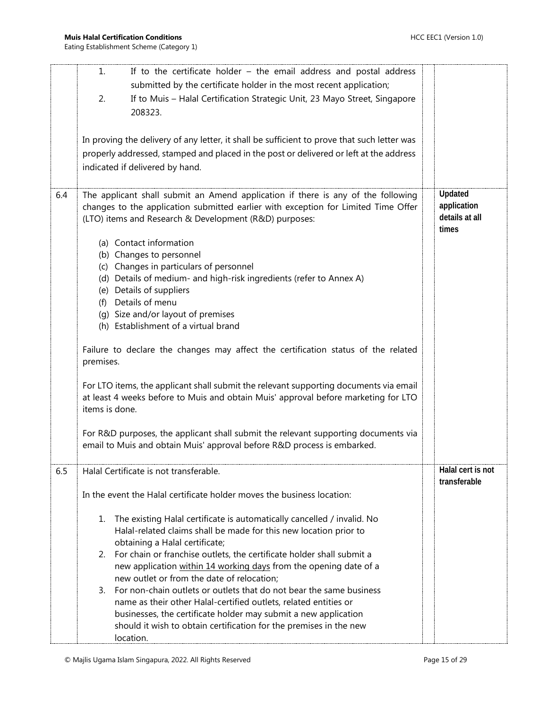|     | If to the certificate holder $-$ the email address and postal address<br>1.<br>submitted by the certificate holder in the most recent application;<br>If to Muis - Halal Certification Strategic Unit, 23 Mayo Street, Singapore<br>2.<br>208323.<br>In proving the delivery of any letter, it shall be sufficient to prove that such letter was<br>properly addressed, stamped and placed in the post or delivered or left at the address<br>indicated if delivered by hand.                                                                                                                                                                                                                                                                                                                                                                                                                                                                                                                                        |                                                   |
|-----|----------------------------------------------------------------------------------------------------------------------------------------------------------------------------------------------------------------------------------------------------------------------------------------------------------------------------------------------------------------------------------------------------------------------------------------------------------------------------------------------------------------------------------------------------------------------------------------------------------------------------------------------------------------------------------------------------------------------------------------------------------------------------------------------------------------------------------------------------------------------------------------------------------------------------------------------------------------------------------------------------------------------|---------------------------------------------------|
| 6.4 | The applicant shall submit an Amend application if there is any of the following<br>changes to the application submitted earlier with exception for Limited Time Offer<br>(LTO) items and Research & Development (R&D) purposes:<br>(a) Contact information<br>(b) Changes to personnel<br>(c) Changes in particulars of personnel<br>(d) Details of medium- and high-risk ingredients (refer to Annex A)<br>Details of suppliers<br>(e)<br>Details of menu<br>(f)<br>(g) Size and/or layout of premises<br>(h) Establishment of a virtual brand<br>Failure to declare the changes may affect the certification status of the related<br>premises.<br>For LTO items, the applicant shall submit the relevant supporting documents via email<br>at least 4 weeks before to Muis and obtain Muis' approval before marketing for LTO<br>items is done.<br>For R&D purposes, the applicant shall submit the relevant supporting documents via<br>email to Muis and obtain Muis' approval before R&D process is embarked. | Updated<br>application<br>details at all<br>times |
| 6.5 | Halal Certificate is not transferable.<br>In the event the Halal certificate holder moves the business location:<br>The existing Halal certificate is automatically cancelled / invalid. No<br>1.<br>Halal-related claims shall be made for this new location prior to<br>obtaining a Halal certificate;<br>For chain or franchise outlets, the certificate holder shall submit a<br>2.<br>new application within 14 working days from the opening date of a<br>new outlet or from the date of relocation;<br>For non-chain outlets or outlets that do not bear the same business<br>3.<br>name as their other Halal-certified outlets, related entities or<br>businesses, the certificate holder may submit a new application<br>should it wish to obtain certification for the premises in the new<br>location.                                                                                                                                                                                                    | Halal cert is not<br>transferable                 |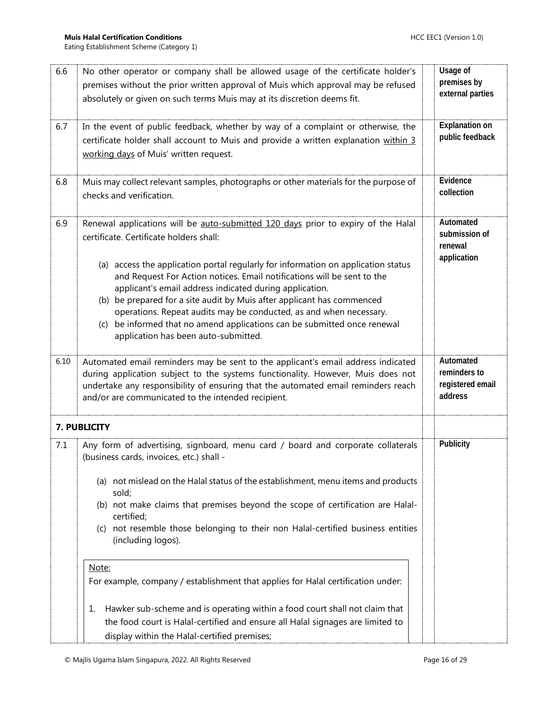<span id="page-15-0"></span>

| 6.6  | No other operator or company shall be allowed usage of the certificate holder's<br>premises without the prior written approval of Muis which approval may be refused<br>absolutely or given on such terms Muis may at its discretion deems fit.                                                                                                                                                                                                                                                                                                                                                                                | Usage of<br>premises by<br>external parties              |
|------|--------------------------------------------------------------------------------------------------------------------------------------------------------------------------------------------------------------------------------------------------------------------------------------------------------------------------------------------------------------------------------------------------------------------------------------------------------------------------------------------------------------------------------------------------------------------------------------------------------------------------------|----------------------------------------------------------|
| 6.7  | In the event of public feedback, whether by way of a complaint or otherwise, the<br>certificate holder shall account to Muis and provide a written explanation within 3<br>working days of Muis' written request.                                                                                                                                                                                                                                                                                                                                                                                                              | <b>Explanation on</b><br>public feedback                 |
| 6.8  | Muis may collect relevant samples, photographs or other materials for the purpose of<br>checks and verification.                                                                                                                                                                                                                                                                                                                                                                                                                                                                                                               | Evidence<br>collection                                   |
| 6.9  | Renewal applications will be auto-submitted 120 days prior to expiry of the Halal<br>certificate. Certificate holders shall:<br>(a) access the application portal regularly for information on application status<br>and Request For Action notices. Email notifications will be sent to the<br>applicant's email address indicated during application.<br>(b) be prepared for a site audit by Muis after applicant has commenced<br>operations. Repeat audits may be conducted, as and when necessary.<br>be informed that no amend applications can be submitted once renewal<br>(c)<br>application has been auto-submitted. | Automated<br>submission of<br>renewal<br>application     |
| 6.10 | Automated email reminders may be sent to the applicant's email address indicated<br>during application subject to the systems functionality. However, Muis does not<br>undertake any responsibility of ensuring that the automated email reminders reach<br>and/or are communicated to the intended recipient.                                                                                                                                                                                                                                                                                                                 | Automated<br>reminders to<br>registered email<br>address |
|      | 7. PUBLICITY                                                                                                                                                                                                                                                                                                                                                                                                                                                                                                                                                                                                                   |                                                          |
| 7.1  | Any form of advertising, signboard, menu card / board and corporate collaterals<br>(business cards, invoices, etc.) shall -<br>(a) not mislead on the Halal status of the establishment, menu items and products<br>sold;<br>(b) not make claims that premises beyond the scope of certification are Halal-<br>certified;<br>(c) not resemble those belonging to their non Halal-certified business entities<br>(including logos).<br>Note:                                                                                                                                                                                    | Publicity                                                |
|      | For example, company / establishment that applies for Halal certification under:                                                                                                                                                                                                                                                                                                                                                                                                                                                                                                                                               |                                                          |
|      | Hawker sub-scheme and is operating within a food court shall not claim that<br>ı.<br>the food court is Halal-certified and ensure all Halal signages are limited to<br>display within the Halal-certified premises;                                                                                                                                                                                                                                                                                                                                                                                                            |                                                          |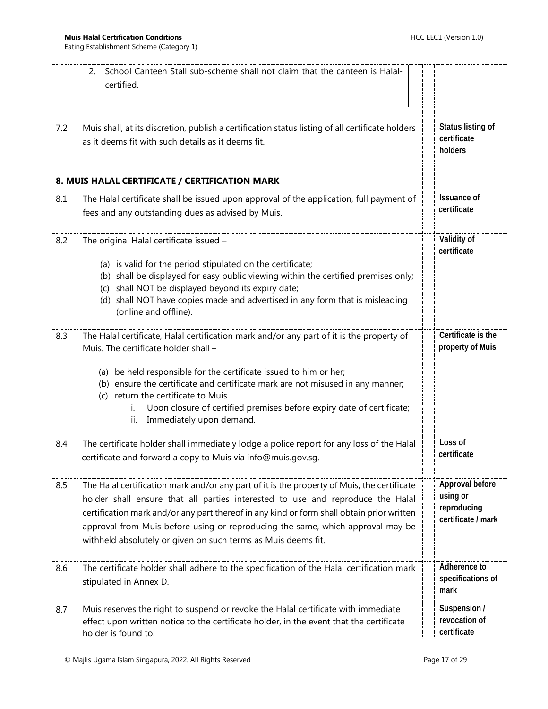<span id="page-16-0"></span>

|     | School Canteen Stall sub-scheme shall not claim that the canteen is Halal-<br>2.<br>certified.                                                                                                                                                                                                                                                                                                                                                     |                                                                  |
|-----|----------------------------------------------------------------------------------------------------------------------------------------------------------------------------------------------------------------------------------------------------------------------------------------------------------------------------------------------------------------------------------------------------------------------------------------------------|------------------------------------------------------------------|
| 7.2 | Muis shall, at its discretion, publish a certification status listing of all certificate holders<br>as it deems fit with such details as it deems fit.                                                                                                                                                                                                                                                                                             | Status listing of<br>certificate<br>holders                      |
|     | 8. MUIS HALAL CERTIFICATE / CERTIFICATION MARK                                                                                                                                                                                                                                                                                                                                                                                                     |                                                                  |
| 8.1 | The Halal certificate shall be issued upon approval of the application, full payment of<br>fees and any outstanding dues as advised by Muis.                                                                                                                                                                                                                                                                                                       | <b>Issuance of</b><br>certificate                                |
| 8.2 | The original Halal certificate issued -<br>(a) is valid for the period stipulated on the certificate;<br>(b) shall be displayed for easy public viewing within the certified premises only;<br>(c) shall NOT be displayed beyond its expiry date;<br>(d) shall NOT have copies made and advertised in any form that is misleading<br>(online and offline).                                                                                         | Validity of<br>certificate                                       |
| 8.3 | The Halal certificate, Halal certification mark and/or any part of it is the property of<br>Muis. The certificate holder shall -<br>(a) be held responsible for the certificate issued to him or her;<br>(b) ensure the certificate and certificate mark are not misused in any manner;<br>return the certificate to Muis<br>(c)<br>Upon closure of certified premises before expiry date of certificate;<br>i.<br>Immediately upon demand.<br>ii. | Certificate is the<br>property of Muis                           |
| 8.4 | The certificate holder shall immediately lodge a police report for any loss of the Halal<br>certificate and forward a copy to Muis via info@muis.gov.sg.                                                                                                                                                                                                                                                                                           | Loss of<br>certificate                                           |
| 8.5 | The Halal certification mark and/or any part of it is the property of Muis, the certificate<br>holder shall ensure that all parties interested to use and reproduce the Halal<br>certification mark and/or any part thereof in any kind or form shall obtain prior written<br>approval from Muis before using or reproducing the same, which approval may be<br>withheld absolutely or given on such terms as Muis deems fit.                      | Approval before<br>using or<br>reproducing<br>certificate / mark |
| 8.6 | The certificate holder shall adhere to the specification of the Halal certification mark<br>stipulated in Annex D.                                                                                                                                                                                                                                                                                                                                 | Adherence to<br>specifications of<br>mark                        |
| 8.7 | Muis reserves the right to suspend or revoke the Halal certificate with immediate<br>effect upon written notice to the certificate holder, in the event that the certificate<br>holder is found to:                                                                                                                                                                                                                                                | Suspension /<br>revocation of<br>certificate                     |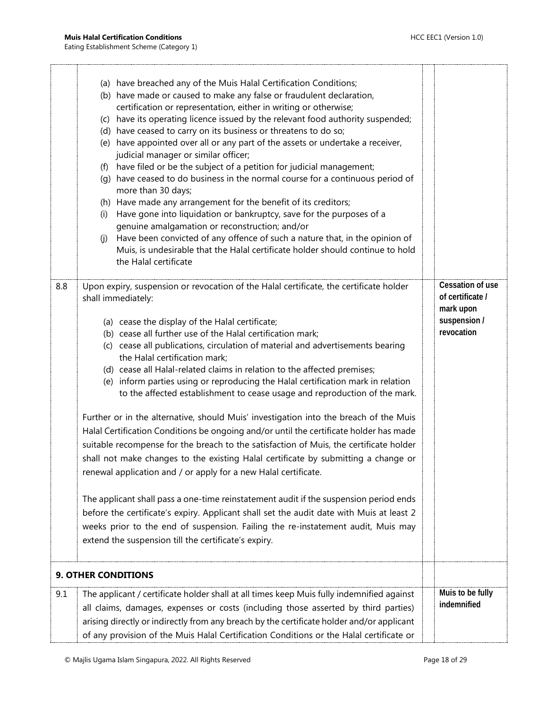<span id="page-17-0"></span>

|     | (a) have breached any of the Muis Halal Certification Conditions;<br>(b) have made or caused to make any false or fraudulent declaration,<br>certification or representation, either in writing or otherwise;<br>(c) have its operating licence issued by the relevant food authority suspended;<br>(d) have ceased to carry on its business or threatens to do so;<br>(e) have appointed over all or any part of the assets or undertake a receiver,<br>judicial manager or similar officer;<br>have filed or be the subject of a petition for judicial management;<br>(f)<br>(g) have ceased to do business in the normal course for a continuous period of<br>more than 30 days;<br>(h) Have made any arrangement for the benefit of its creditors;<br>Have gone into liquidation or bankruptcy, save for the purposes of a<br>(i)<br>genuine amalgamation or reconstruction; and/or<br>Have been convicted of any offence of such a nature that, in the opinion of<br>(i)<br>Muis, is undesirable that the Halal certificate holder should continue to hold<br>the Halal certificate                                                                                                                                                                                                                                                                              |                                                                                 |
|-----|-----------------------------------------------------------------------------------------------------------------------------------------------------------------------------------------------------------------------------------------------------------------------------------------------------------------------------------------------------------------------------------------------------------------------------------------------------------------------------------------------------------------------------------------------------------------------------------------------------------------------------------------------------------------------------------------------------------------------------------------------------------------------------------------------------------------------------------------------------------------------------------------------------------------------------------------------------------------------------------------------------------------------------------------------------------------------------------------------------------------------------------------------------------------------------------------------------------------------------------------------------------------------------------------------------------------------------------------------------------------------|---------------------------------------------------------------------------------|
| 8.8 | Upon expiry, suspension or revocation of the Halal certificate, the certificate holder<br>shall immediately:<br>(a) cease the display of the Halal certificate;<br>(b) cease all further use of the Halal certification mark;<br>(c) cease all publications, circulation of material and advertisements bearing<br>the Halal certification mark;<br>(d) cease all Halal-related claims in relation to the affected premises;<br>(e) inform parties using or reproducing the Halal certification mark in relation<br>to the affected establishment to cease usage and reproduction of the mark.<br>Further or in the alternative, should Muis' investigation into the breach of the Muis<br>Halal Certification Conditions be ongoing and/or until the certificate holder has made<br>suitable recompense for the breach to the satisfaction of Muis, the certificate holder<br>shall not make changes to the existing Halal certificate by submitting a change or<br>renewal application and / or apply for a new Halal certificate.<br>The applicant shall pass a one-time reinstatement audit if the suspension period ends<br>before the certificate's expiry. Applicant shall set the audit date with Muis at least 2<br>weeks prior to the end of suspension. Failing the re-instatement audit, Muis may<br>extend the suspension till the certificate's expiry. | Cessation of use<br>of certificate /<br>mark upon<br>suspension /<br>revocation |
|     | <b>9. OTHER CONDITIONS</b>                                                                                                                                                                                                                                                                                                                                                                                                                                                                                                                                                                                                                                                                                                                                                                                                                                                                                                                                                                                                                                                                                                                                                                                                                                                                                                                                            |                                                                                 |
| 9.1 | The applicant / certificate holder shall at all times keep Muis fully indemnified against<br>all claims, damages, expenses or costs (including those asserted by third parties)<br>arising directly or indirectly from any breach by the certificate holder and/or applicant<br>of any provision of the Muis Halal Certification Conditions or the Halal certificate or                                                                                                                                                                                                                                                                                                                                                                                                                                                                                                                                                                                                                                                                                                                                                                                                                                                                                                                                                                                               | Muis to be fully<br>indemnified                                                 |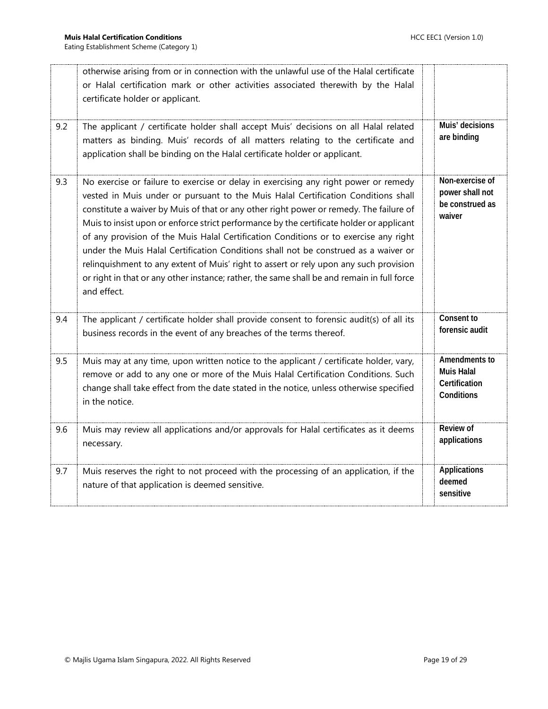|     | otherwise arising from or in connection with the unlawful use of the Halal certificate<br>or Halal certification mark or other activities associated therewith by the Halal<br>certificate holder or applicant.                                                                                                                                                                                                                                                                                                                                                                                                                                                                                                                                     |                                                                   |
|-----|-----------------------------------------------------------------------------------------------------------------------------------------------------------------------------------------------------------------------------------------------------------------------------------------------------------------------------------------------------------------------------------------------------------------------------------------------------------------------------------------------------------------------------------------------------------------------------------------------------------------------------------------------------------------------------------------------------------------------------------------------------|-------------------------------------------------------------------|
| 9.2 | The applicant / certificate holder shall accept Muis' decisions on all Halal related<br>matters as binding. Muis' records of all matters relating to the certificate and<br>application shall be binding on the Halal certificate holder or applicant.                                                                                                                                                                                                                                                                                                                                                                                                                                                                                              | Muis' decisions<br>are binding                                    |
| 9.3 | No exercise or failure to exercise or delay in exercising any right power or remedy<br>vested in Muis under or pursuant to the Muis Halal Certification Conditions shall<br>constitute a waiver by Muis of that or any other right power or remedy. The failure of<br>Muis to insist upon or enforce strict performance by the certificate holder or applicant<br>of any provision of the Muis Halal Certification Conditions or to exercise any right<br>under the Muis Halal Certification Conditions shall not be construed as a waiver or<br>relinquishment to any extent of Muis' right to assert or rely upon any such provision<br>or right in that or any other instance; rather, the same shall be and remain in full force<br>and effect. | Non-exercise of<br>power shall not<br>be construed as<br>waiver   |
| 9.4 | The applicant / certificate holder shall provide consent to forensic audit(s) of all its<br>business records in the event of any breaches of the terms thereof.                                                                                                                                                                                                                                                                                                                                                                                                                                                                                                                                                                                     | Consent to<br>forensic audit                                      |
| 9.5 | Muis may at any time, upon written notice to the applicant / certificate holder, vary,<br>remove or add to any one or more of the Muis Halal Certification Conditions. Such<br>change shall take effect from the date stated in the notice, unless otherwise specified<br>in the notice.                                                                                                                                                                                                                                                                                                                                                                                                                                                            | Amendments to<br><b>Muis Halal</b><br>Certification<br>Conditions |
| 9.6 | Muis may review all applications and/or approvals for Halal certificates as it deems<br>necessary.                                                                                                                                                                                                                                                                                                                                                                                                                                                                                                                                                                                                                                                  | <b>Review of</b><br>applications                                  |
| 9.7 | Muis reserves the right to not proceed with the processing of an application, if the<br>nature of that application is deemed sensitive.                                                                                                                                                                                                                                                                                                                                                                                                                                                                                                                                                                                                             | <b>Applications</b><br>deemed<br>sensitive                        |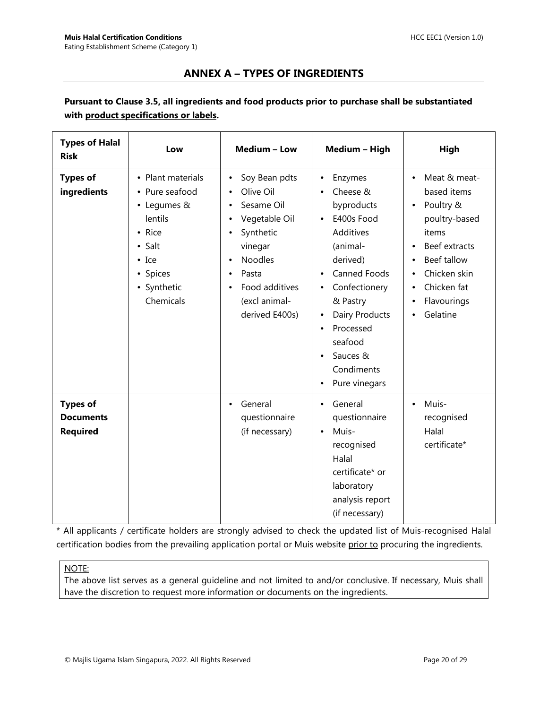## **ANNEX A – TYPES OF INGREDIENTS**

## <span id="page-19-0"></span>**Pursuant to Clause 3.5, all ingredients and food products prior to purchase shall be substantiated with product specifications or labels.**

| <b>Types of Halal</b><br><b>Risk</b>                   | Low                                                                                                                                                | Medium - Low                                                                                                                                                      | Medium - High                                                                                                                                                                                                                                                                                        | High                                                                                                                                                                                                                               |
|--------------------------------------------------------|----------------------------------------------------------------------------------------------------------------------------------------------------|-------------------------------------------------------------------------------------------------------------------------------------------------------------------|------------------------------------------------------------------------------------------------------------------------------------------------------------------------------------------------------------------------------------------------------------------------------------------------------|------------------------------------------------------------------------------------------------------------------------------------------------------------------------------------------------------------------------------------|
| <b>Types of</b><br>ingredients                         | • Plant materials<br>• Pure seafood<br>• Legumes &<br>lentils<br>• Rice<br>$\bullet$ Salt<br>$\bullet$ Ice<br>• Spices<br>• Synthetic<br>Chemicals | Soy Bean pdts<br>Olive Oil<br>Sesame Oil<br>Vegetable Oil<br>Synthetic<br>vinegar<br><b>Noodles</b><br>Pasta<br>Food additives<br>(excl animal-<br>derived E400s) | Enzymes<br>$\bullet$<br>Cheese &<br>byproducts<br>E400s Food<br>$\bullet$<br>Additives<br>(animal-<br>derived)<br>Canned Foods<br>$\bullet$<br>Confectionery<br>$\bullet$<br>& Pastry<br>Dairy Products<br>Processed<br>$\bullet$<br>seafood<br>Sauces &<br>Condiments<br>Pure vinegars<br>$\bullet$ | Meat & meat-<br>$\bullet$<br>based items<br>Poultry &<br>poultry-based<br>items<br>Beef extracts<br>$\bullet$<br>Beef tallow<br>$\bullet$<br>Chicken skin<br>$\bullet$<br>Chicken fat<br>٠<br>Flavourings<br>$\bullet$<br>Gelatine |
| <b>Types of</b><br><b>Documents</b><br><b>Required</b> |                                                                                                                                                    | General<br>questionnaire<br>(if necessary)                                                                                                                        | General<br>$\bullet$<br>questionnaire<br>Muis-<br>$\bullet$<br>recognised<br>Halal<br>certificate* or<br>laboratory<br>analysis report<br>(if necessary)                                                                                                                                             | Muis-<br>$\bullet$<br>recognised<br>Halal<br>certificate*                                                                                                                                                                          |

\* All applicants / certificate holders are strongly advised to check the updated list of Muis-recognised Halal certification bodies from the prevailing application portal or Muis website prior to procuring the ingredients.

#### NOTE:

The above list serves as a general guideline and not limited to and/or conclusive. If necessary, Muis shall have the discretion to request more information or documents on the ingredients.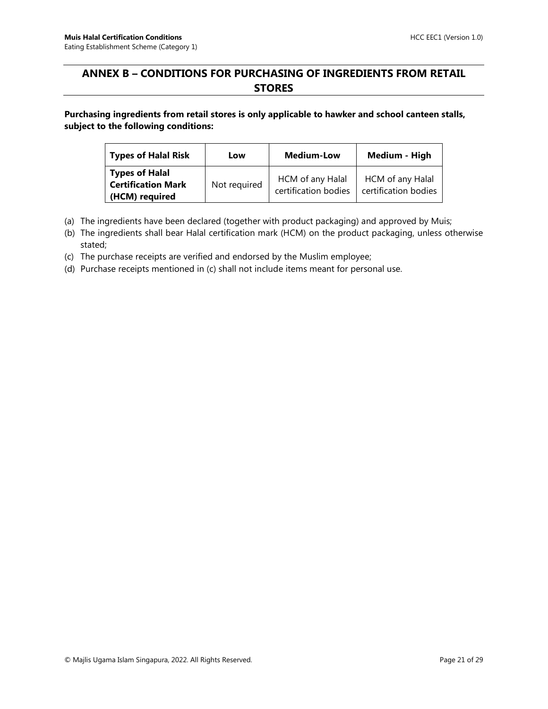## <span id="page-20-0"></span>**ANNEX B – CONDITIONS FOR PURCHASING OF INGREDIENTS FROM RETAIL STORES**

**Purchasing ingredients from retail stores is only applicable to hawker and school canteen stalls, subject to the following conditions:**

| Types of Halal Risk                                             | Low          | <b>Medium-Low</b>                        | Medium - High                            |
|-----------------------------------------------------------------|--------------|------------------------------------------|------------------------------------------|
| Types of Halal<br><b>Certification Mark</b><br>  (HCM) required | Not required | HCM of any Halal<br>certification bodies | HCM of any Halal<br>certification bodies |

- (a) The ingredients have been declared (together with product packaging) and approved by Muis;
- (b) The ingredients shall bear Halal certification mark (HCM) on the product packaging, unless otherwise stated;

(c) The purchase receipts are verified and endorsed by the Muslim employee;

(d) Purchase receipts mentioned in (c) shall not include items meant for personal use.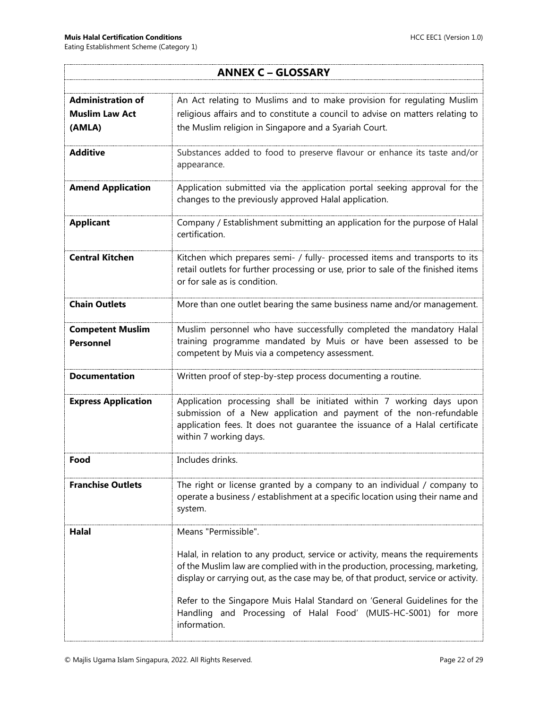٦ļ

r

<span id="page-21-0"></span>

| <b>ANNEX C - GLOSSARY</b>                         |                                                                                                                                                                                                                                                       |  |  |
|---------------------------------------------------|-------------------------------------------------------------------------------------------------------------------------------------------------------------------------------------------------------------------------------------------------------|--|--|
|                                                   |                                                                                                                                                                                                                                                       |  |  |
| <b>Administration of</b><br><b>Muslim Law Act</b> | An Act relating to Muslims and to make provision for regulating Muslim<br>religious affairs and to constitute a council to advise on matters relating to                                                                                              |  |  |
| (AMLA)                                            | the Muslim religion in Singapore and a Syariah Court.                                                                                                                                                                                                 |  |  |
|                                                   |                                                                                                                                                                                                                                                       |  |  |
| <b>Additive</b>                                   | Substances added to food to preserve flavour or enhance its taste and/or<br>appearance.                                                                                                                                                               |  |  |
| <b>Amend Application</b>                          | Application submitted via the application portal seeking approval for the<br>changes to the previously approved Halal application.                                                                                                                    |  |  |
| <b>Applicant</b>                                  | Company / Establishment submitting an application for the purpose of Halal<br>certification.                                                                                                                                                          |  |  |
| <b>Central Kitchen</b>                            | Kitchen which prepares semi- / fully- processed items and transports to its<br>retail outlets for further processing or use, prior to sale of the finished items<br>or for sale as is condition.                                                      |  |  |
| <b>Chain Outlets</b>                              | More than one outlet bearing the same business name and/or management.                                                                                                                                                                                |  |  |
| <b>Competent Muslim</b><br><b>Personnel</b>       | Muslim personnel who have successfully completed the mandatory Halal<br>training programme mandated by Muis or have been assessed to be<br>competent by Muis via a competency assessment.                                                             |  |  |
| <b>Documentation</b>                              | Written proof of step-by-step process documenting a routine.                                                                                                                                                                                          |  |  |
| <b>Express Application</b>                        | Application processing shall be initiated within 7 working days upon<br>submission of a New application and payment of the non-refundable<br>application fees. It does not guarantee the issuance of a Halal certificate<br>within 7 working days.    |  |  |
| Food                                              | Includes drinks.                                                                                                                                                                                                                                      |  |  |
| <b>Franchise Outlets</b>                          | The right or license granted by a company to an individual / company to<br>operate a business / establishment at a specific location using their name and<br>system.                                                                                  |  |  |
| Halal                                             | Means "Permissible".                                                                                                                                                                                                                                  |  |  |
|                                                   | Halal, in relation to any product, service or activity, means the requirements<br>of the Muslim law are complied with in the production, processing, marketing,<br>display or carrying out, as the case may be, of that product, service or activity. |  |  |
|                                                   | Refer to the Singapore Muis Halal Standard on 'General Guidelines for the<br>Handling and Processing of Halal Food' (MUIS-HC-S001) for more<br>information.                                                                                           |  |  |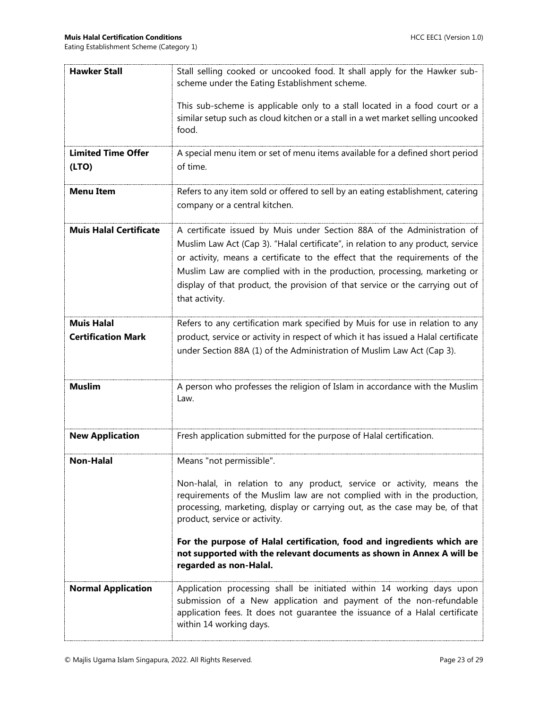| <b>Hawker Stall</b>                            | Stall selling cooked or uncooked food. It shall apply for the Hawker sub-<br>scheme under the Eating Establishment scheme.                                                                                                                                                                                                                                                                                                |  |  |
|------------------------------------------------|---------------------------------------------------------------------------------------------------------------------------------------------------------------------------------------------------------------------------------------------------------------------------------------------------------------------------------------------------------------------------------------------------------------------------|--|--|
|                                                | This sub-scheme is applicable only to a stall located in a food court or a<br>similar setup such as cloud kitchen or a stall in a wet market selling uncooked<br>food.                                                                                                                                                                                                                                                    |  |  |
| <b>Limited Time Offer</b><br>(LTO)             | A special menu item or set of menu items available for a defined short period<br>of time.                                                                                                                                                                                                                                                                                                                                 |  |  |
| <b>Menu Item</b>                               | Refers to any item sold or offered to sell by an eating establishment, catering<br>company or a central kitchen.                                                                                                                                                                                                                                                                                                          |  |  |
| <b>Muis Halal Certificate</b>                  | A certificate issued by Muis under Section 88A of the Administration of<br>Muslim Law Act (Cap 3). "Halal certificate", in relation to any product, service<br>or activity, means a certificate to the effect that the requirements of the<br>Muslim Law are complied with in the production, processing, marketing or<br>display of that product, the provision of that service or the carrying out of<br>that activity. |  |  |
| <b>Muis Halal</b><br><b>Certification Mark</b> | Refers to any certification mark specified by Muis for use in relation to any<br>product, service or activity in respect of which it has issued a Halal certificate<br>under Section 88A (1) of the Administration of Muslim Law Act (Cap 3).                                                                                                                                                                             |  |  |
| <b>Muslim</b>                                  | A person who professes the religion of Islam in accordance with the Muslim<br>Law.                                                                                                                                                                                                                                                                                                                                        |  |  |
| <b>New Application</b>                         | Fresh application submitted for the purpose of Halal certification.                                                                                                                                                                                                                                                                                                                                                       |  |  |
| <b>Non-Halal</b>                               | Means "not permissible".                                                                                                                                                                                                                                                                                                                                                                                                  |  |  |
|                                                | Non-halal, in relation to any product, service or activity, means the<br>requirements of the Muslim law are not complied with in the production,<br>processing, marketing, display or carrying out, as the case may be, of that<br>product, service or activity.<br>For the purpose of Halal certification, food and ingredients which are                                                                                |  |  |
|                                                | not supported with the relevant documents as shown in Annex A will be<br>regarded as non-Halal.                                                                                                                                                                                                                                                                                                                           |  |  |
| <b>Normal Application</b>                      | Application processing shall be initiated within 14 working days upon<br>submission of a New application and payment of the non-refundable<br>application fees. It does not guarantee the issuance of a Halal certificate<br>within 14 working days.                                                                                                                                                                      |  |  |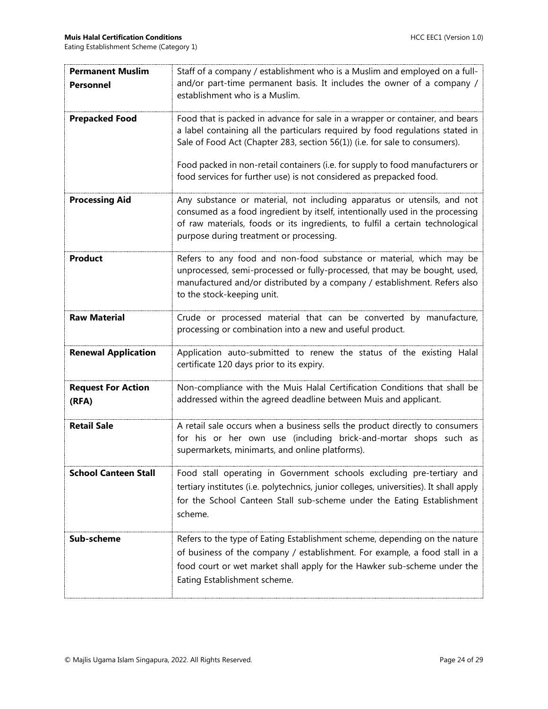| <b>Permanent Muslim</b>     | Staff of a company / establishment who is a Muslim and employed on a full-             |  |
|-----------------------------|----------------------------------------------------------------------------------------|--|
| <b>Personnel</b>            | and/or part-time permanent basis. It includes the owner of a company /                 |  |
|                             | establishment who is a Muslim.                                                         |  |
|                             |                                                                                        |  |
| <b>Prepacked Food</b>       | Food that is packed in advance for sale in a wrapper or container, and bears           |  |
|                             | a label containing all the particulars required by food regulations stated in          |  |
|                             | Sale of Food Act (Chapter 283, section 56(1)) (i.e. for sale to consumers).            |  |
|                             | Food packed in non-retail containers (i.e. for supply to food manufacturers or         |  |
|                             | food services for further use) is not considered as prepacked food.                    |  |
|                             |                                                                                        |  |
| <b>Processing Aid</b>       | Any substance or material, not including apparatus or utensils, and not                |  |
|                             | consumed as a food ingredient by itself, intentionally used in the processing          |  |
|                             | of raw materials, foods or its ingredients, to fulfil a certain technological          |  |
|                             | purpose during treatment or processing.                                                |  |
| <b>Product</b>              | Refers to any food and non-food substance or material, which may be                    |  |
|                             | unprocessed, semi-processed or fully-processed, that may be bought, used,              |  |
|                             | manufactured and/or distributed by a company / establishment. Refers also              |  |
|                             | to the stock-keeping unit.                                                             |  |
|                             |                                                                                        |  |
| <b>Raw Material</b>         | Crude or processed material that can be converted by manufacture,                      |  |
|                             | processing or combination into a new and useful product.                               |  |
| <b>Renewal Application</b>  | Application auto-submitted to renew the status of the existing Halal                   |  |
|                             | certificate 120 days prior to its expiry.                                              |  |
|                             |                                                                                        |  |
| <b>Request For Action</b>   | Non-compliance with the Muis Halal Certification Conditions that shall be              |  |
| (RFA)                       | addressed within the agreed deadline between Muis and applicant.                       |  |
|                             |                                                                                        |  |
| <b>Retail Sale</b>          | A retail sale occurs when a business sells the product directly to consumers           |  |
|                             | for his or her own use (including brick-and-mortar shops such as                       |  |
|                             | supermarkets, minimarts, and online platforms).                                        |  |
| <b>School Canteen Stall</b> | Food stall operating in Government schools excluding pre-tertiary and                  |  |
|                             | tertiary institutes (i.e. polytechnics, junior colleges, universities). It shall apply |  |
|                             | for the School Canteen Stall sub-scheme under the Eating Establishment                 |  |
|                             | scheme.                                                                                |  |
|                             |                                                                                        |  |
| Sub-scheme                  | Refers to the type of Eating Establishment scheme, depending on the nature             |  |
|                             | of business of the company / establishment. For example, a food stall in a             |  |
|                             | food court or wet market shall apply for the Hawker sub-scheme under the               |  |
|                             | Eating Establishment scheme.                                                           |  |
|                             |                                                                                        |  |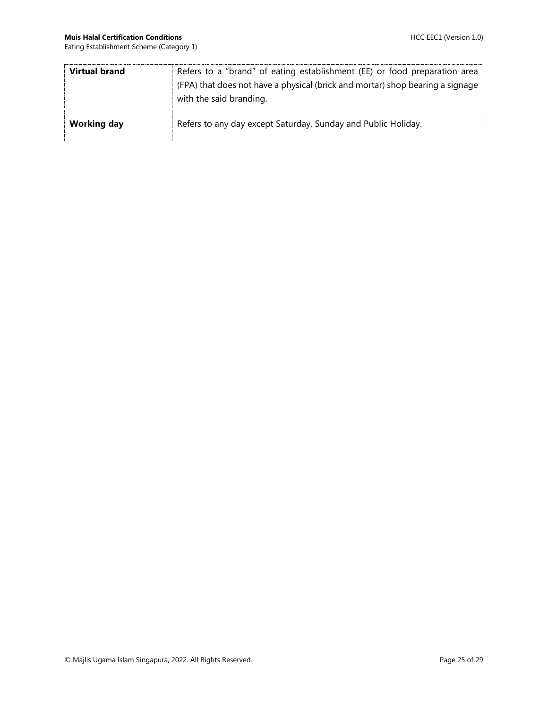| Virtual brand      | Refers to a "brand" of eating establishment (EE) or food preparation area<br>(FPA) that does not have a physical (brick and mortar) shop bearing a signage<br>with the said branding. |
|--------------------|---------------------------------------------------------------------------------------------------------------------------------------------------------------------------------------|
| <b>Working day</b> | Refers to any day except Saturday, Sunday and Public Holiday.                                                                                                                         |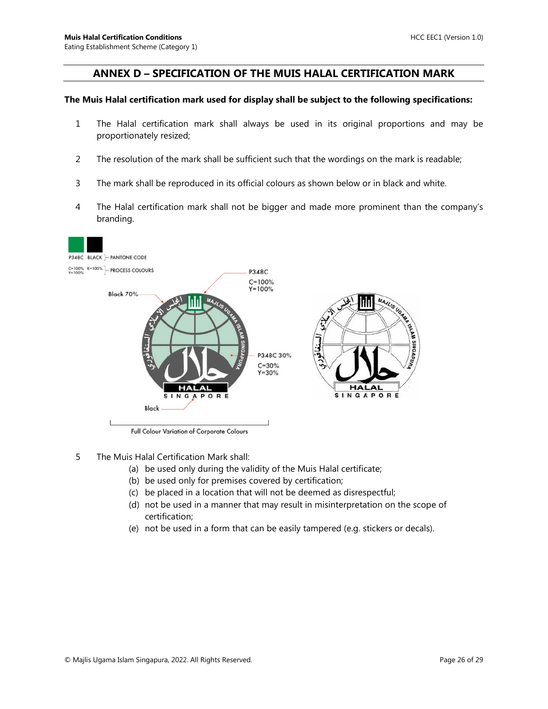#### <span id="page-25-0"></span>**ANNEX D – SPECIFICATION OF THE MUIS HALAL CERTIFICATION MARK**

#### **The Muis Halal certification mark used for display shall be subject to the following specifications:**

- 1 The Halal certification mark shall always be used in its original proportions and may be proportionately resized;
- 2 The resolution of the mark shall be sufficient such that the wordings on the mark is readable;
- 3 The mark shall be reproduced in its official colours as shown below or in black and white.
- 4 The Halal certification mark shall not be bigger and made more prominent than the company's branding.



Full Colour Variation of Corporate Colours

- 5 The Muis Halal Certification Mark shall:
	- (a) be used only during the validity of the Muis Halal certificate;
	- (b) be used only for premises covered by certification;
	- (c) be placed in a location that will not be deemed as disrespectful;
	- (d) not be used in a manner that may result in misinterpretation on the scope of certification;
	- (e) not be used in a form that can be easily tampered (e.g. stickers or decals).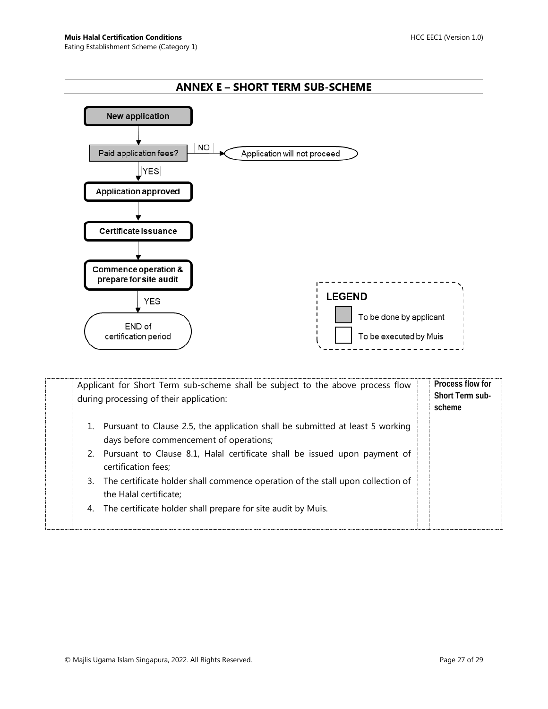<span id="page-26-0"></span>

| Applicant for Short Term sub-scheme shall be subject to the above process flow<br>during processing of their application:                                                                                                                                                                                                                                                                                                      | Process flow for<br><b>Short Term sub-</b><br>scheme |
|--------------------------------------------------------------------------------------------------------------------------------------------------------------------------------------------------------------------------------------------------------------------------------------------------------------------------------------------------------------------------------------------------------------------------------|------------------------------------------------------|
| Pursuant to Clause 2.5, the application shall be submitted at least 5 working<br>1.<br>days before commencement of operations;<br>2. Pursuant to Clause 8.1, Halal certificate shall be issued upon payment of<br>certification fees:<br>The certificate holder shall commence operation of the stall upon collection of<br>3.<br>the Halal certificate;<br>The certificate holder shall prepare for site audit by Muis.<br>4. |                                                      |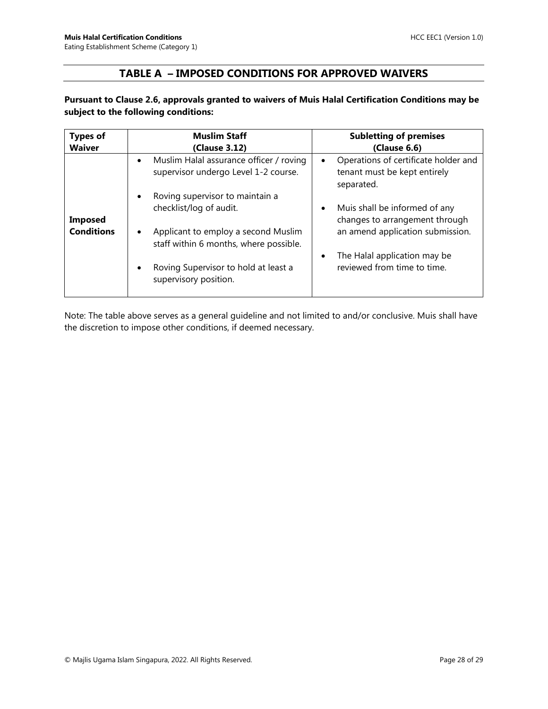## **TABLE A – IMPOSED CONDITIONS FOR APPROVED WAIVERS**

#### <span id="page-27-0"></span>**Pursuant to Clause 2.6, approvals granted to waivers of Muis Halal Certification Conditions may be subject to the following conditions:**

| <b>Types of</b><br><b>Waiver</b>    | <b>Muslim Staff</b><br>(Clause 3.12)                                                                                                                                                                                        | <b>Subletting of premises</b><br>(Clause 6.6)                                                                                                                                |
|-------------------------------------|-----------------------------------------------------------------------------------------------------------------------------------------------------------------------------------------------------------------------------|------------------------------------------------------------------------------------------------------------------------------------------------------------------------------|
|                                     | Muslim Halal assurance officer / roving<br>$\bullet$<br>supervisor undergo Level 1-2 course.                                                                                                                                | Operations of certificate holder and<br>$\bullet$<br>tenant must be kept entirely<br>separated.                                                                              |
| <b>Imposed</b><br><b>Conditions</b> | Roving supervisor to maintain a<br>٠<br>checklist/log of audit.<br>Applicant to employ a second Muslim<br>٠<br>staff within 6 months, where possible.<br>Roving Supervisor to hold at least a<br>٠<br>supervisory position. | Muis shall be informed of any<br>٠<br>changes to arrangement through<br>an amend application submission.<br>The Halal application may be<br>٠<br>reviewed from time to time. |

Note: The table above serves as a general guideline and not limited to and/or conclusive. Muis shall have the discretion to impose other conditions, if deemed necessary.